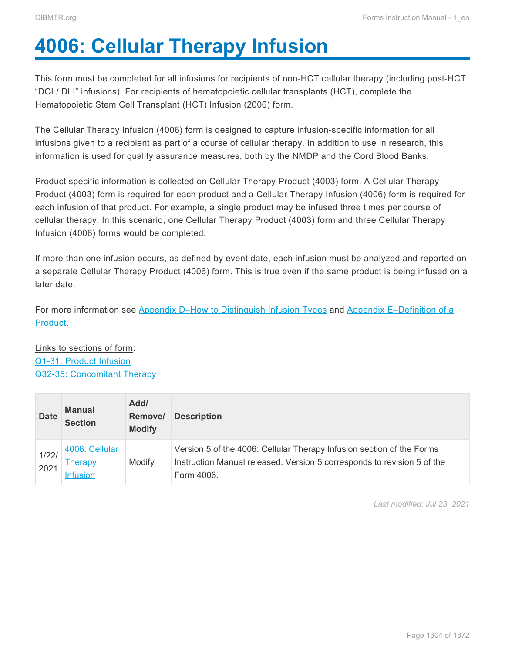# <span id="page-0-0"></span>**4006: Cellular Therapy Infusion**

This form must be completed for all infusions for recipients of non-HCT cellular therapy (including post-HCT "DCI / DLI" infusions). For recipients of hematopoietic cellular transplants (HCT), complete the Hematopoietic Stem Cell Transplant (HCT) Infusion (2006) form.

The Cellular Therapy Infusion (4006) form is designed to capture infusion-specific information for all infusions given to a recipient as part of a course of cellular therapy. In addition to use in research, this information is used for quality assurance measures, both by the NMDP and the Cord Blood Banks.

Product specific information is collected on Cellular Therapy Product (4003) form. A Cellular Therapy Product (4003) form is required for each product and a Cellular Therapy Infusion (4006) form is required for each infusion of that product. For example, a single product may be infused three times per course of cellular therapy. In this scenario, one Cellular Therapy Product (4003) form and three Cellular Therapy Infusion (4006) forms would be completed.

If more than one infusion occurs, as defined by event date, each infusion must be analyzed and reported on a separate Cellular Therapy Product (4006) form. This is true even if the same product is being infused on a later date.

For more information see [Appendix D–How to Distinguish Infusion Types](#page--1-0) and [Appendix E–Definition of a](#page--1-0) [Product](#page--1-0).

Links to sections of form: [Q1-31: Product Infusion](#page-1-0) [Q32-35: Concomitant Therapy](#page-7-0)

| <b>Date</b>   | <b>Manual</b><br><b>Section</b>              | Add/<br>Remove/<br><b>Modify</b> | <b>Description</b>                                                                                                                                             |
|---------------|----------------------------------------------|----------------------------------|----------------------------------------------------------------------------------------------------------------------------------------------------------------|
| 1/22/<br>2021 | 4006: Cellular<br>Therapy<br><b>Infusion</b> | Modify                           | Version 5 of the 4006: Cellular Therapy Infusion section of the Forms<br>Instruction Manual released. Version 5 corresponds to revision 5 of the<br>Form 4006. |

*Last modified: Jul 23, 2021*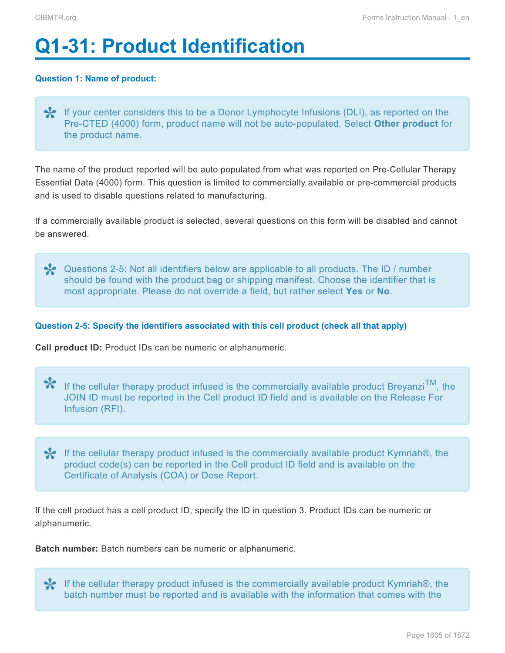# <span id="page-1-0"></span>**Q1-31: Product Identification**

# **Question 1: Name of product:**

◆ If your center considers this to be a Donor Lymphocyte Infusions (DLI), as reported on the Pre-CTED (4000) form, product name will not be auto-populated. Select Other product for the product name. Pre-CTED (4000) form, product name will not be auto-populated. Select **Other product** for the product name.

The name of the product reported will be auto populated from what was reported on Pre-Cellular Therapy Essential Data (4000) form. This question is limited to commercially available or pre-commercial products and is used to disable questions related to manufacturing.

If a commercially available product is selected, several questions on this form will be disabled and cannot be answered.

**X** Questions 2-5: Not all identifiers below are applicable to all products. The ID / number<br>should be found with the product bag or shipping manifest. Choose the identifier that i should be found with the product bag or shipping manifest. Choose the identifier that is most appropriate. Please do not override a field, but rather select **Yes** or **No**.

## **Question 2-5: Specify the identifiers associated with this cell product (check all that apply)**

**Cell product ID:** Product IDs can be numeric or alphanumeric.

**\*** If the cellular therapy product infused is the commercially available product Breyanzi<sup>TM</sup>, the JOIN ID must be reported in the Cell product ID field and is available on the Release For JOIN ID must be reported in the Cell product ID field and is available on the Release For Infusion (RFI).

<del>↓</del> If the cellular therapy product infused is the commercially available product Kymriah®, the product code(s) can be reported in the Cell product ID field and is available on the Certificate of Anglueis (COA) or Deep Be product code(s) can be reported in the Cell product ID field and is available on the Certificate of Analysis (COA) or Dose Report.

If the cell product has a cell product ID, specify the ID in question 3. Product IDs can be numeric or alphanumeric.

**Batch number:** Batch numbers can be numeric or alphanumeric.

If the cellular therapy product infused is the commercially available product Kymriah®, the **\*** batch number must be reported and is available with the information that comes with the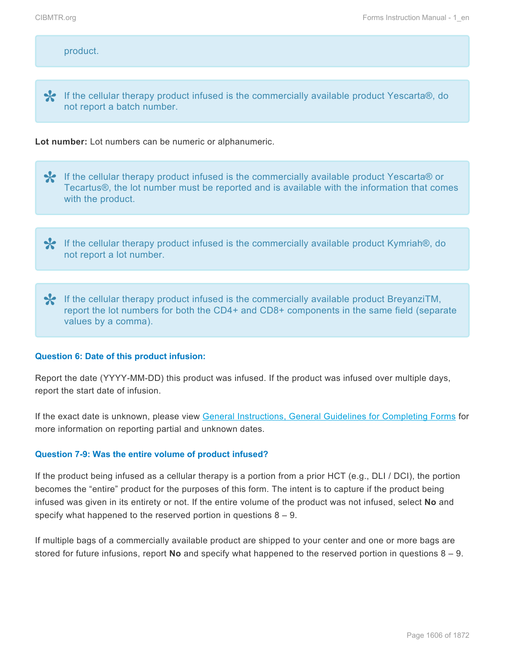## product.

If the cellular therapy product infused is the commercially available product Yescarta®, do **\*** not report a batch number.

#### **Lot number:** Lot numbers can be numeric or alphanumeric.

**★** If the cellular therapy product infused is the commercially available product Yescarta® or Tecartus®, the lot number must be reported and is available with the information that cor Tecartus®, the lot number must be reported and is available with the information that comes with the product.

**Ex** If the cellular therapy product infused is the commercially available product Kymriah®, do not report a lot number.

If the cellular therapy product infused is the commercially available product BreyanziTM,<br>report the lot numbers for both the CD4+ and CD8+ components in the same field (separation) report the lot numbers for both the CD4+ and CD8+ components in the same field (separate values by a comma).

#### **Question 6: Date of this product infusion:**

Report the date (YYYY-MM-DD) this product was infused. If the product was infused over multiple days, report the start date of infusion.

If the exact date is unknown, please view General Instructions, General Guidelines for Completing Forms for more information on reporting partial and unknown dates.

#### **Question 7-9: Was the entire volume of product infused?**

If the product being infused as a cellular therapy is a portion from a prior HCT (e.g., DLI / DCI), the portion becomes the "entire" product for the purposes of this form. The intent is to capture if the product being infused was given in its entirety or not. If the entire volume of the product was not infused, select **No** and specify what happened to the reserved portion in questions 8 – 9.

If multiple bags of a commercially available product are shipped to your center and one or more bags are stored for future infusions, report **No** and specify what happened to the reserved portion in questions 8 – 9.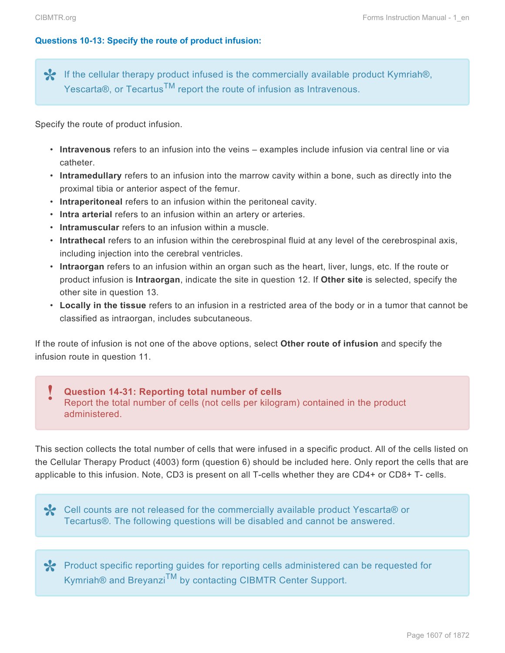## **Questions 10-13: Specify the route of product infusion:**

**⊁** If the cellular therapy product infused is the commercially available product Kymriah®,<br>Yescarta®, or Tecartus<sup>™</sup> report the route of infusion as Intravenous. Yescarta®, or Tecartus<sup>TM</sup> report the route of infusion as Intravenous.

Specify the route of product infusion.

- **Intravenous** refers to an infusion into the veins examples include infusion via central line or via catheter.
- **Intramedullary** refers to an infusion into the marrow cavity within a bone, such as directly into the proximal tibia or anterior aspect of the femur.
- **Intraperitoneal** refers to an infusion within the peritoneal cavity.
- **Intra arterial** refers to an infusion within an artery or arteries.
- **Intramuscular** refers to an infusion within a muscle.
- **Intrathecal** refers to an infusion within the cerebrospinal fluid at any level of the cerebrospinal axis, including injection into the cerebral ventricles.
- **Intraorgan** refers to an infusion within an organ such as the heart, liver, lungs, etc. If the route or product infusion is **Intraorgan**, indicate the site in question 12. If **Other site** is selected, specify the other site in question 13.
- **Locally in the tissue** refers to an infusion in a restricted area of the body or in a tumor that cannot be classified as intraorgan, includes subcutaneous.

If the route of infusion is not one of the above options, select **Other route of infusion** and specify the infusion route in question 11.

#### **Question 14-31: Reporting total number of cells** Report the total number of cells (not cells per kilogram) contained in the product administered. **!**

This section collects the total number of cells that were infused in a specific product. All of the cells listed on the Cellular Therapy Product (4003) form (question 6) should be included here. Only report the cells that are applicable to this infusion. Note, CD3 is present on all T-cells whether they are CD4+ or CD8+ T- cells.

Cell counts are not released for the commercially available product Yescarta® or **\*** Tecartus®. The following questions will be disabled and cannot be answered.

**\*** Product specific reporting guides for reporting cells administered can be requested for Kymriah® and Breyanzi<sup>TM</sup> by contacting CIBMTR Center Support. Kymriah® and Breyanzi<sup>TM</sup> by contacting CIBMTR Center Support.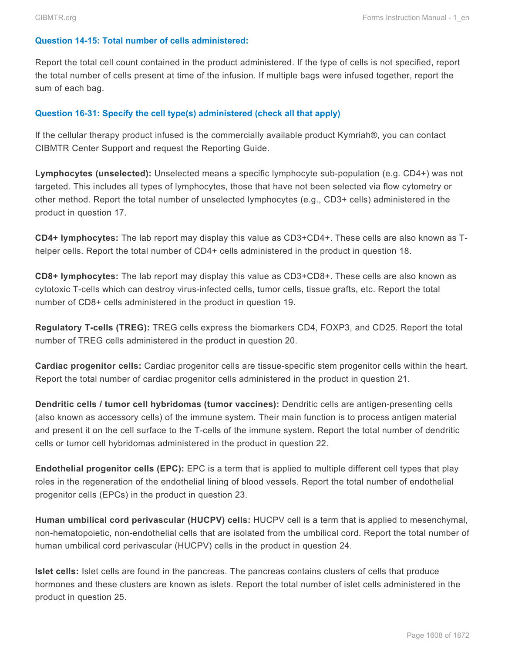# **Question 14-15: Total number of cells administered:**

Report the total cell count contained in the product administered. If the type of cells is not specified, report the total number of cells present at time of the infusion. If multiple bags were infused together, report the sum of each bag.

# **Question 16-31: Specify the cell type(s) administered (check all that apply)**

If the cellular therapy product infused is the commercially available product Kymriah®, you can contact CIBMTR Center Support and request the Reporting Guide.

**Lymphocytes (unselected):** Unselected means a specific lymphocyte sub-population (e.g. CD4+) was not targeted. This includes all types of lymphocytes, those that have not been selected via flow cytometry or other method. Report the total number of unselected lymphocytes (e.g., CD3+ cells) administered in the product in question 17.

**CD4+ lymphocytes:** The lab report may display this value as CD3+CD4+. These cells are also known as Thelper cells. Report the total number of CD4+ cells administered in the product in question 18.

**CD8+ lymphocytes:** The lab report may display this value as CD3+CD8+. These cells are also known as cytotoxic T-cells which can destroy virus-infected cells, tumor cells, tissue grafts, etc. Report the total number of CD8+ cells administered in the product in question 19.

**Regulatory T-cells (TREG):** TREG cells express the biomarkers CD4, FOXP3, and CD25. Report the total number of TREG cells administered in the product in question 20.

**Cardiac progenitor cells:** Cardiac progenitor cells are tissue-specific stem progenitor cells within the heart. Report the total number of cardiac progenitor cells administered in the product in question 21.

**Dendritic cells / tumor cell hybridomas (tumor vaccines):** Dendritic cells are antigen-presenting cells (also known as accessory cells) of the immune system. Their main function is to process antigen material and present it on the cell surface to the T-cells of the immune system. Report the total number of dendritic cells or tumor cell hybridomas administered in the product in question 22.

**Endothelial progenitor cells (EPC):** EPC is a term that is applied to multiple different cell types that play roles in the regeneration of the endothelial lining of blood vessels. Report the total number of endothelial progenitor cells (EPCs) in the product in question 23.

**Human umbilical cord perivascular (HUCPV) cells:** HUCPV cell is a term that is applied to mesenchymal, non-hematopoietic, non-endothelial cells that are isolated from the umbilical cord. Report the total number of human umbilical cord perivascular (HUCPV) cells in the product in question 24.

**Islet cells:** Islet cells are found in the pancreas. The pancreas contains clusters of cells that produce hormones and these clusters are known as islets. Report the total number of islet cells administered in the product in question 25.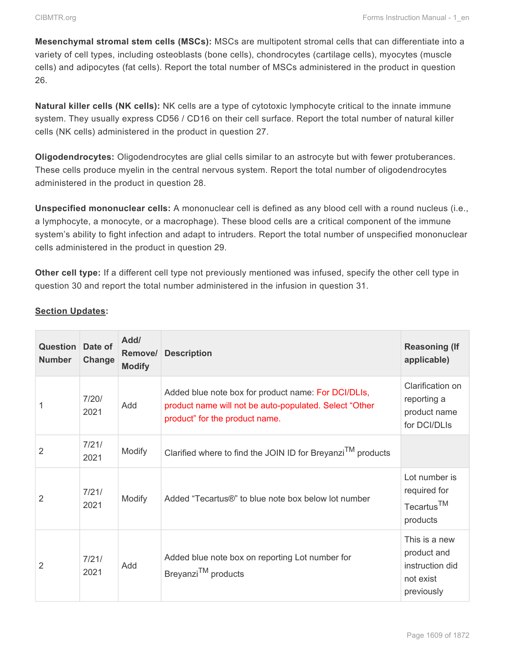**Mesenchymal stromal stem cells (MSCs):** MSCs are multipotent stromal cells that can differentiate into a variety of cell types, including osteoblasts (bone cells), chondrocytes (cartilage cells), myocytes (muscle cells) and adipocytes (fat cells). Report the total number of MSCs administered in the product in question 26.

**Natural killer cells (NK cells):** NK cells are a type of cytotoxic lymphocyte critical to the innate immune system. They usually express CD56 / CD16 on their cell surface. Report the total number of natural killer cells (NK cells) administered in the product in question 27.

**Oligodendrocytes:** Oligodendrocytes are glial cells similar to an astrocyte but with fewer protuberances. These cells produce myelin in the central nervous system. Report the total number of oligodendrocytes administered in the product in question 28.

**Unspecified mononuclear cells:** A mononuclear cell is defined as any blood cell with a round nucleus (i.e., a lymphocyte, a monocyte, or a macrophage). These blood cells are a critical component of the immune system's ability to fight infection and adapt to intruders. Report the total number of unspecified mononuclear cells administered in the product in question 29.

**Other cell type:** If a different cell type not previously mentioned was infused, specify the other cell type in question 30 and report the total number administered in the infusion in question 31.

| <b>Question</b> Date of<br><b>Number</b> | Change        | Add/<br>Remove/<br><b>Modify</b> | <b>Description</b>                                                                                                                              | <b>Reasoning (If</b><br>applicable)                                        |
|------------------------------------------|---------------|----------------------------------|-------------------------------------------------------------------------------------------------------------------------------------------------|----------------------------------------------------------------------------|
|                                          | 7/20/<br>2021 | Add                              | Added blue note box for product name: For DCI/DLIs,<br>product name will not be auto-populated. Select "Other<br>product" for the product name. | Clarification on<br>reporting a<br>product name<br>for DCI/DLIs            |
| 2                                        | 7/21/<br>2021 | Modify                           | Clarified where to find the JOIN ID for Breyanzi <sup>TM</sup> products                                                                         |                                                                            |
| 2                                        | 7/21/<br>2021 | Modify                           | Added "Tecartus®" to blue note box below lot number                                                                                             | Lot number is<br>required for<br>Tecartus <sup>TM</sup><br>products        |
| 2                                        | 7/21/<br>2021 | Add                              | Added blue note box on reporting Lot number for<br>Breyanzi <sup>TM</sup> products                                                              | This is a new<br>product and<br>instruction did<br>not exist<br>previously |

# **Section Updates:**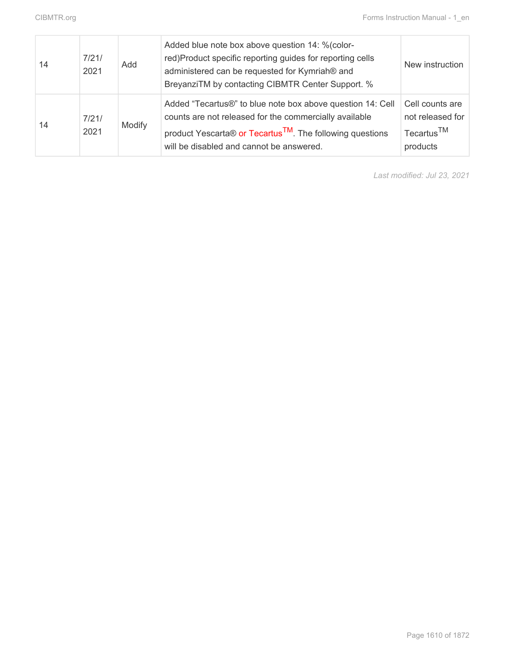| 14 | 7/21/<br>2021 | Add    | Added blue note box above question 14: % (color-<br>red)Product specific reporting guides for reporting cells<br>administered can be requested for Kymriah® and<br>BreyanziTM by contacting CIBMTR Center Support. %                      | New instruction                                                           |
|----|---------------|--------|-------------------------------------------------------------------------------------------------------------------------------------------------------------------------------------------------------------------------------------------|---------------------------------------------------------------------------|
| 14 | 7/21/<br>2021 | Modify | Added "Tecartus®" to blue note box above question 14: Cell<br>counts are not released for the commercially available<br>product Yescarta® or Tecartus <sup>TM</sup> . The following questions<br>will be disabled and cannot be answered. | Cell counts are<br>not released for<br>Tecartus <sup>TM</sup><br>products |

*Last modified: Jul 23, 2021*